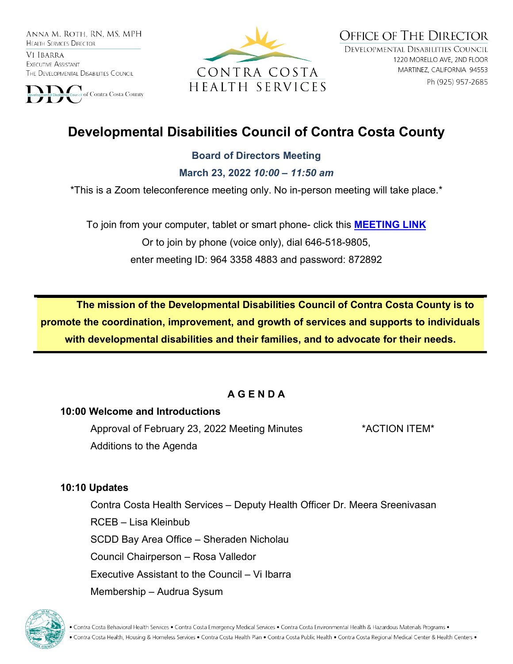ANNA M. ROTH. RN. MS. MPH **HEALTH SERVICES DIRECTOR** 

VI IBARRA EXECUTIVE ASSISTANT THE DEVELOPMENTAL DISABILITIES COUNCIL





**OFFICE OF THE DIRECTOR** DEVELOPMENTAL DISABILITIES COUNCIL 1220 MORELLO AVE, 2ND FLOOR MARTINEZ, CALIFORNIA 94553 Ph (925) 957-2685

# **Developmental Disabilities Council of Contra Costa County**

#### **Board of Directors Meeting**

**March 23, 2022** *10:00 – 11:50 am*

\*This is a Zoom teleconference meeting only. No in-person meeting will take place.\*

To join from your computer, tablet or smart phone- click this **[MEETING LINK](https://cchealth.zoom.us/j/96433584883?pwd=bEtCdk9wM0NyZHFVaVl0N3U3Rm1mQT09)** Or to join by phone (voice only), dial 646-518-9805, enter meeting ID: 964 3358 4883 and password: 872892

**The mission of the Developmental Disabilities Council of Contra Costa County is to promote the coordination, improvement, and growth of services and supports to individuals with developmental disabilities and their families, and to advocate for their needs.** 

## **A G E N D A**

#### **10:00 Welcome and Introductions**

Approval of February 23, 2022 Meeting Minutes \*ACTION ITEM\* Additions to the Agenda

#### **10:10 Updates**

Contra Costa Health Services – Deputy Health Officer Dr. Meera Sreenivasan RCEB – Lisa Kleinbub SCDD Bay Area Office – Sheraden Nicholau Council Chairperson – Rosa Valledor Executive Assistant to the Council – Vi Ibarra Membership – Audrua Sysum